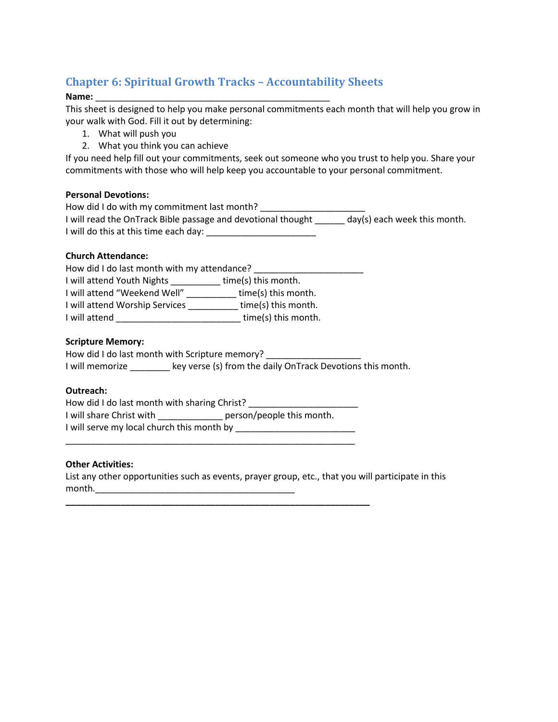# **Chapter 6: Spiritual Growth Tracks – Accountability Sheets**

#### **Name:** \_\_\_\_\_\_\_\_\_\_\_\_\_\_\_\_\_\_\_\_\_\_\_\_\_\_\_\_\_\_\_\_\_\_\_\_\_\_\_\_\_\_\_\_\_\_\_

This sheet is designed to help you make personal commitments each month that will help you grow in your walk with God. Fill it out by determining:

- 1. What will push you
- 2. What you think you can achieve

If you need help fill out your commitments, seek out someone who you trust to help you. Share your commitments with those who will help keep you accountable to your personal commitment.

# **Personal Devotions:**

| How did I do with my commitment last month?                  |                              |
|--------------------------------------------------------------|------------------------------|
| I will read the OnTrack Bible passage and devotional thought | day(s) each week this month. |
| I will do this at this time each day:                        |                              |

#### **Church Attendance:**

| How did I do last month with my attendance? |                     |  |  |  |
|---------------------------------------------|---------------------|--|--|--|
| I will attend Youth Nights                  | time(s) this month. |  |  |  |
| I will attend "Weekend Well"                | time(s) this month. |  |  |  |
| I will attend Worship Services              | time(s) this month. |  |  |  |
| I will attend                               | time(s) this month. |  |  |  |

#### **Scripture Memory:**

| How did I do last month with Scripture memory? |                                                            |
|------------------------------------------------|------------------------------------------------------------|
| I will memorize                                | key verse (s) from the daily OnTrack Devotions this month. |

# **Outreach:**

| How did I do last month with sharing Christ? |                           |
|----------------------------------------------|---------------------------|
| I will share Christ with                     | person/people this month. |
| I will serve my local church this month by   |                           |

\_\_\_\_\_\_\_\_\_\_\_\_\_\_\_\_\_\_\_\_\_\_\_\_\_\_\_\_\_\_\_\_\_\_\_\_\_\_\_\_\_\_\_\_\_\_\_\_\_\_\_\_\_\_\_\_\_\_

**\_\_\_\_\_\_\_\_\_\_\_\_\_\_\_\_\_\_\_\_\_\_\_\_\_\_\_\_\_\_\_\_\_\_\_\_\_\_\_\_\_\_\_\_\_\_\_\_\_\_\_\_\_\_\_\_\_\_\_\_\_**

# **Other Activities:**

List any other opportunities such as events, prayer group, etc., that you will participate in this month.\_\_\_\_\_\_\_\_\_\_\_\_\_\_\_\_\_\_\_\_\_\_\_\_\_\_\_\_\_\_\_\_\_\_\_\_\_\_\_\_